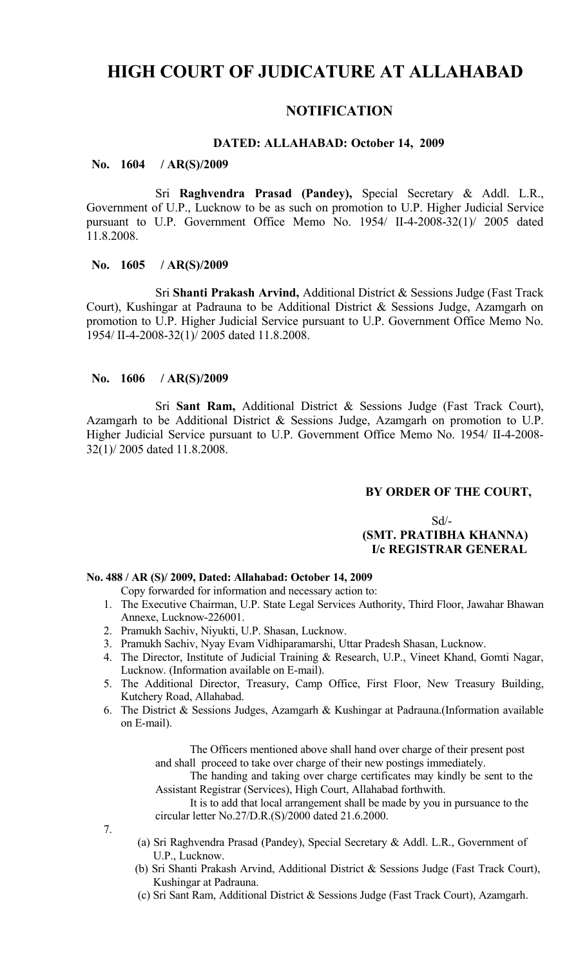# **HIGH COURT OF JUDICATURE AT ALLAHABAD**

## **NOTIFICATION**

#### **DATED: ALLAHABAD: October 14, 2009**

## **No. 1604 / AR(S)/2009**

Sri **Raghvendra Prasad (Pandey),** Special Secretary & Addl. L.R., Government of U.P., Lucknow to be as such on promotion to U.P. Higher Judicial Service pursuant to U.P. Government Office Memo No. 1954/ II-4-2008-32(1)/ 2005 dated 11.8.2008.

## **No. 1605 / AR(S)/2009**

Sri **Shanti Prakash Arvind,** Additional District & Sessions Judge (Fast Track Court), Kushingar at Padrauna to be Additional District & Sessions Judge, Azamgarh on promotion to U.P. Higher Judicial Service pursuant to U.P. Government Office Memo No. 1954/ II-4-2008-32(1)/ 2005 dated 11.8.2008.

## **No. 1606 / AR(S)/2009**

Sri **Sant Ram,** Additional District & Sessions Judge (Fast Track Court), Azamgarh to be Additional District & Sessions Judge, Azamgarh on promotion to U.P. Higher Judicial Service pursuant to U.P. Government Office Memo No. 1954/ II-4-2008- 32(1)/ 2005 dated 11.8.2008.

## **BY ORDER OF THE COURT,**

 Sd/-  **(SMT. PRATIBHA KHANNA) I/c REGISTRAR GENERAL**

#### **No. 488 / AR (S)/ 2009, Dated: Allahabad: October 14, 2009**

Copy forwarded for information and necessary action to:

- 1. The Executive Chairman, U.P. State Legal Services Authority, Third Floor, Jawahar Bhawan Annexe, Lucknow-226001.
- 2. Pramukh Sachiv, Niyukti, U.P. Shasan, Lucknow.
- 3. Pramukh Sachiv, Nyay Evam Vidhiparamarshi, Uttar Pradesh Shasan, Lucknow.
- 4. The Director, Institute of Judicial Training & Research, U.P., Vineet Khand, Gomti Nagar, Lucknow. (Information available on E-mail).
- 5. The Additional Director, Treasury, Camp Office, First Floor, New Treasury Building, Kutchery Road, Allahabad.
- 6. The District & Sessions Judges, Azamgarh & Kushingar at Padrauna.(Information available on E-mail).

 The Officers mentioned above shall hand over charge of their present post and shall proceed to take over charge of their new postings immediately.

The handing and taking over charge certificates may kindly be sent to the Assistant Registrar (Services), High Court, Allahabad forthwith.

It is to add that local arrangement shall be made by you in pursuance to the circular letter No.27/D.R.(S)/2000 dated 21.6.2000.

7.

- (a) Sri Raghvendra Prasad (Pandey), Special Secretary & Addl. L.R., Government of U.P., Lucknow.
- (b) Sri Shanti Prakash Arvind, Additional District & Sessions Judge (Fast Track Court), Kushingar at Padrauna.
- (c) Sri Sant Ram, Additional District & Sessions Judge (Fast Track Court), Azamgarh.